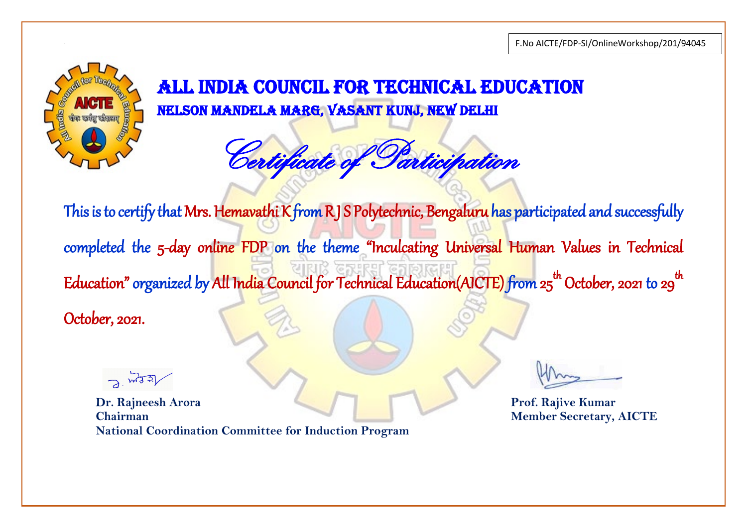

Certificate of Participation

This is to certify that Mrs. Hemavathi K from R J S Polytechnic, Bengaluru has participated and successfully completed the 5-day online FDP on the theme "Inculcating Universal Human Values in Technical Education" organized by All Ind<mark>i</mark>a Council for Technical Education(AICTE) from 25<sup>th</sup> October, 2021 to 29<sup>th</sup>  $\ddot{\phantom{0}}$ October, 2021.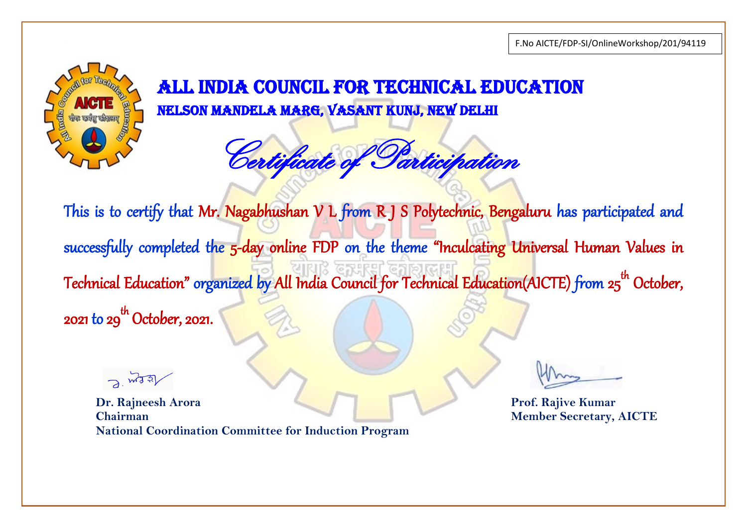

Certificate of Participation

This is to certify that Mr. Nagabhushan V L from R J S Polytechnic, Bengaluru has participated and successfully completed the 5-day online FDP on the theme "Inculcating Universal Human Values in Technical Education" organized by All India Council for Technica<mark>l Education(AICTE) fr</mark>om 25<sup>th</sup> October, 2021 to 29<sup>th</sup> October, 2021.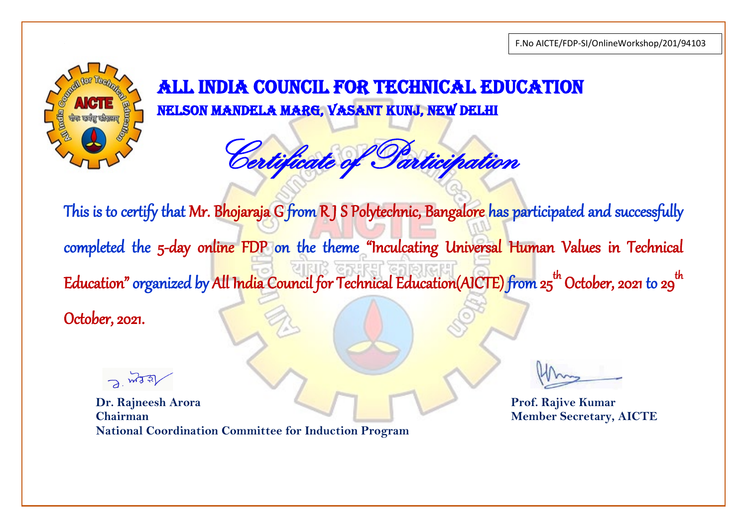

Certificate of Participation

This is to certify that Mr. Bhojaraja G from R J S Polytechnic, Bangalore has participated and successfully completed the 5-day online FDP on the theme "Inculcating Universal Human Values in Technical Education" organized by All Ind<mark>i</mark>a Council for Technical Education(AICTE) from 25<sup>th</sup> October, 2021 to 29<sup>th</sup>  $\ddot{\phantom{0}}$ October, 2021.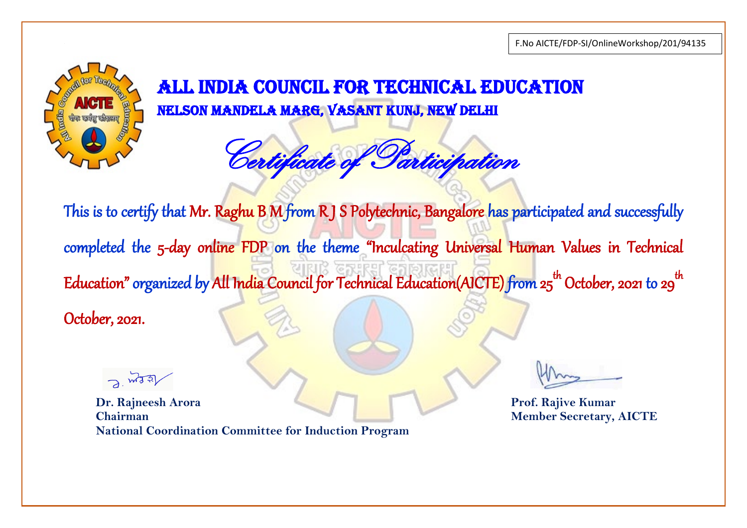

Certificate of Participation

This is to certify that Mr. Raghu B M from R J S Polytechnic, Bangalore has participated and successfully completed the 5-day online FDP on the theme "Inculcating Universal Human Values in Technical Education" organized by All Ind<mark>i</mark>a Council for Technical Education(AICTE) from 25<sup>th</sup> October, 2021 to 29<sup>th</sup>  $\ddot{\phantom{0}}$ October, 2021.